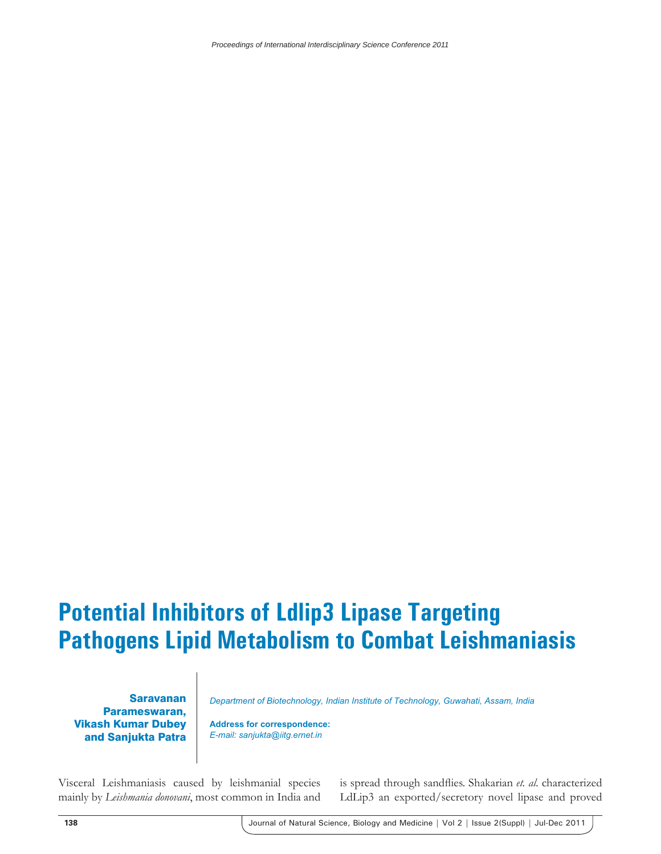*Proceedings of International Interdisciplinary Science Conference 2011*

## **Potential Inhibitors of Ldlip3 Lipase Targeting Pathogens Lipid Metabolism to Combat Leishmaniasis**

Saravanan Parameswaran, Vikash Kumar Dubey and Sanjukta Patra

*Department of Biotechnology, Indian Institute of Technology, Guwahati, Assam, India*

**Address for correspondence:** *E-mail: sanjukta@iitg.ernet.in*

Visceral Leishmaniasis caused by leishmanial species mainly by *Leishmania donovani*, most common in India and

is spread through sandflies. Shakarian et. al. characterized LdLip3 an exported/secretory novel lipase and proved